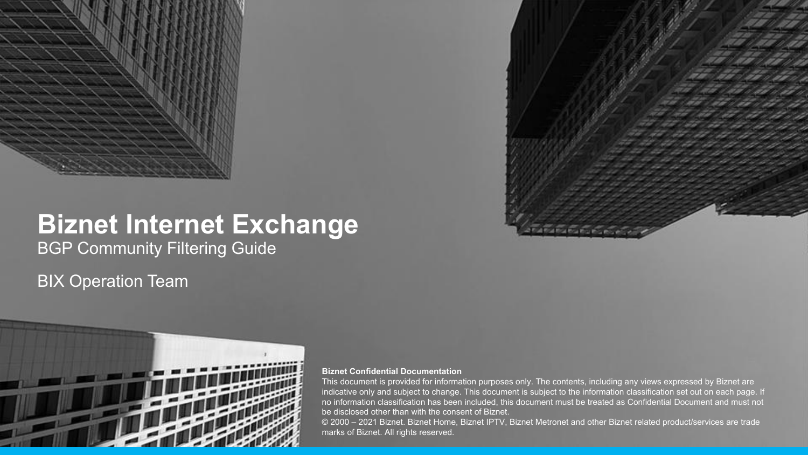

# **Biznet Internet Exchange**

BGP Community Filtering Guide

#### BIX Operation Team



#### **Biznet Confidential Documentation**

This document is provided for information purposes only. The contents, including any views expressed by Biznet are indicative only and subject to change. This document is subject to the information classification set out on each page. If no information classification has been included, this document must be treated as Confidential Document and must not be disclosed other than with the consent of Biznet.

© 2000 – 2021 Biznet. Biznet Home, Biznet IPTV, Biznet Metronet and other Biznet related product/services are trade marks of Biznet. All rights reserved.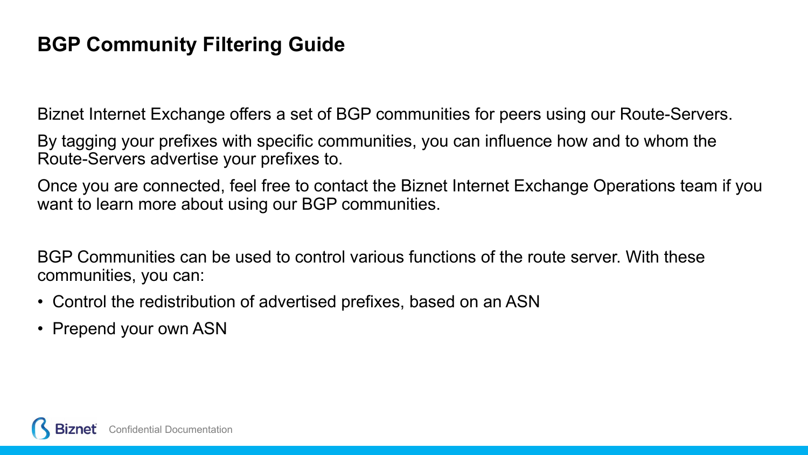#### **BGP Community Filtering Guide**

Biznet Internet Exchange offers a set of BGP communities for peers using our Route-Servers.

By tagging your prefixes with specific communities, you can influence how and to whom the Route-Servers advertise your prefixes to.

Once you are connected, feel free to contact the Biznet Internet Exchange Operations team if you want to learn more about using our BGP communities.

BGP Communities can be used to control various functions of the route server. With these communities, you can:

- Control the redistribution of advertised prefixes, based on an ASN
- Prepend your own ASN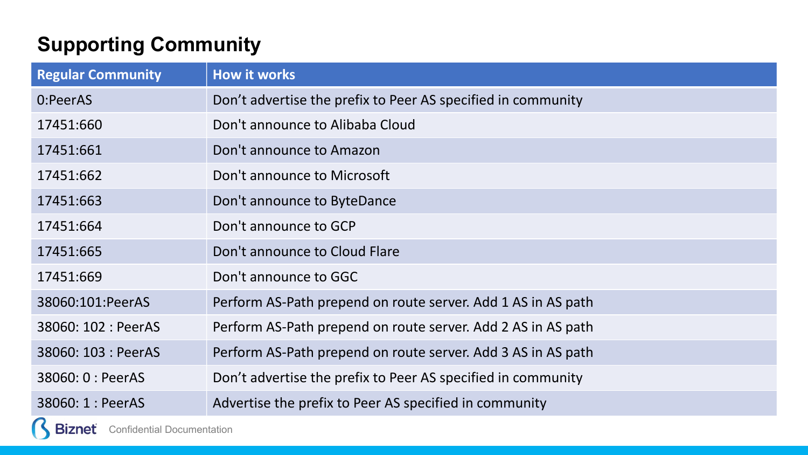### **Supporting Community**

 $\cup$ 

| <b>Regular Community</b>                 | <b>How it works</b>                                          |
|------------------------------------------|--------------------------------------------------------------|
| 0:PeerAS                                 | Don't advertise the prefix to Peer AS specified in community |
| 17451:660                                | Don't announce to Alibaba Cloud                              |
| 17451:661                                | Don't announce to Amazon                                     |
| 17451:662                                | Don't announce to Microsoft                                  |
| 17451:663                                | Don't announce to ByteDance                                  |
| 17451:664                                | Don't announce to GCP                                        |
| 17451:665                                | Don't announce to Cloud Flare                                |
| 17451:669                                | Don't announce to GGC                                        |
| 38060:101:PeerAS                         | Perform AS-Path prepend on route server. Add 1 AS in AS path |
| 38060: 102 : PeerAS                      | Perform AS-Path prepend on route server. Add 2 AS in AS path |
| 38060: 103 : PeerAS                      | Perform AS-Path prepend on route server. Add 3 AS in AS path |
| 38060: 0 : PeerAS                        | Don't advertise the prefix to Peer AS specified in community |
| 38060: 1 : PeerAS                        | Advertise the prefix to Peer AS specified in community       |
| <b>Biznet</b> Confidential Documentation |                                                              |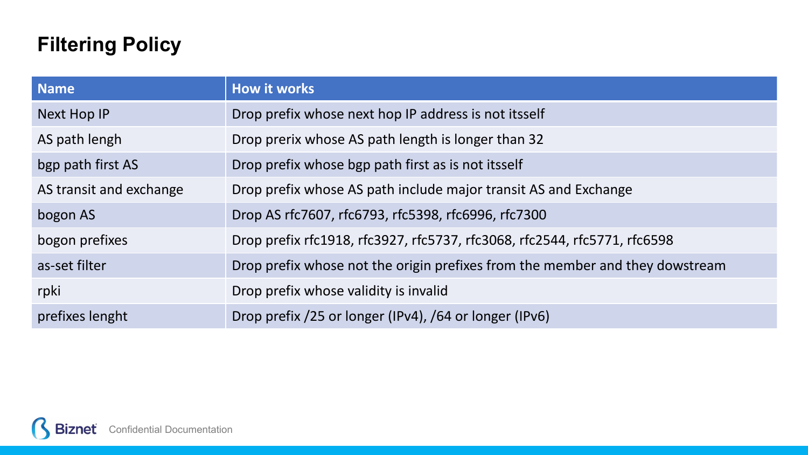## **Filtering Policy**

| <b>Name</b>             | <b>How it works</b>                                                          |
|-------------------------|------------------------------------------------------------------------------|
| Next Hop IP             | Drop prefix whose next hop IP address is not itsself                         |
| AS path lengh           | Drop prerix whose AS path length is longer than 32                           |
| bgp path first AS       | Drop prefix whose bgp path first as is not itsself                           |
| AS transit and exchange | Drop prefix whose AS path include major transit AS and Exchange              |
| bogon AS                | Drop AS rfc7607, rfc6793, rfc5398, rfc6996, rfc7300                          |
| bogon prefixes          | Drop prefix rfc1918, rfc3927, rfc5737, rfc3068, rfc2544, rfc5771, rfc6598    |
| as-set filter           | Drop prefix whose not the origin prefixes from the member and they dowstream |
| rpki                    | Drop prefix whose validity is invalid                                        |
| prefixes lenght         | Drop prefix /25 or longer (IPv4), /64 or longer (IPv6)                       |

R **Biznet** Confidential Documentation